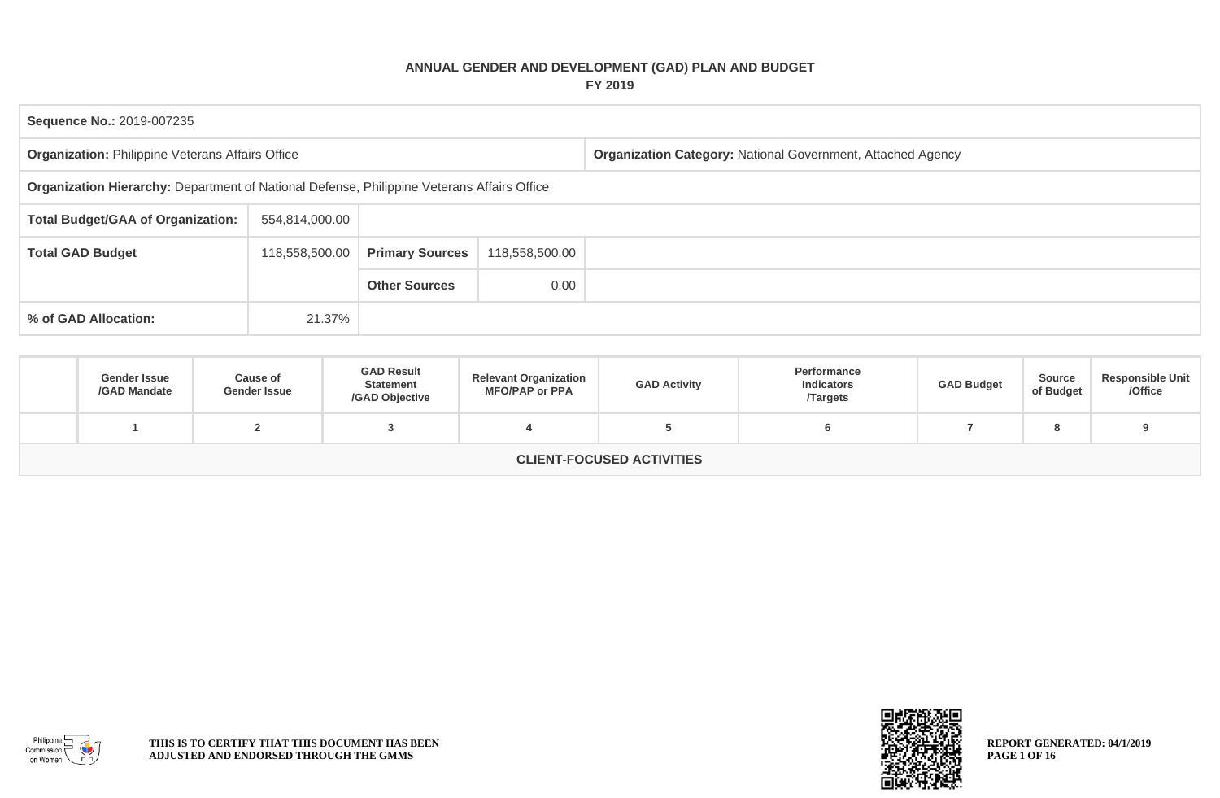## **ANNUAL GENDER AND DEVELOPMENT (GAD) PLAN AND BUDGET FY 2019**

| Sequence No.: 2019-007235                                                                  |                |                        |                |                                                                    |  |  |  |  |  |
|--------------------------------------------------------------------------------------------|----------------|------------------------|----------------|--------------------------------------------------------------------|--|--|--|--|--|
| <b>Organization: Philippine Veterans Affairs Office</b>                                    |                |                        |                | <b>Organization Category: National Government, Attached Agency</b> |  |  |  |  |  |
| Organization Hierarchy: Department of National Defense, Philippine Veterans Affairs Office |                |                        |                |                                                                    |  |  |  |  |  |
| <b>Total Budget/GAA of Organization:</b>                                                   | 554,814,000.00 |                        |                |                                                                    |  |  |  |  |  |
| <b>Total GAD Budget</b>                                                                    | 118,558,500.00 | <b>Primary Sources</b> | 118,558,500.00 |                                                                    |  |  |  |  |  |
|                                                                                            |                | <b>Other Sources</b>   | 0.00           |                                                                    |  |  |  |  |  |
| % of GAD Allocation:<br>21.37%                                                             |                |                        |                |                                                                    |  |  |  |  |  |

| <b>Gender Issue</b><br>/GAD Mandate | Cause of<br><b>Gender Issue</b> | <b>GAD Result</b><br><b>Statement</b><br>/GAD Objective | <b>Relevant Organization</b><br><b>MFO/PAP or PPA</b> | <b>GAD Activity</b> | Performance<br><b>Indicators</b><br><b>Targets</b> | <b>GAD Budget</b> | Source<br>of Budget | <b>Responsible Unit</b><br>/Office |  |
|-------------------------------------|---------------------------------|---------------------------------------------------------|-------------------------------------------------------|---------------------|----------------------------------------------------|-------------------|---------------------|------------------------------------|--|
|                                     |                                 |                                                         |                                                       |                     |                                                    |                   | o                   |                                    |  |
| <b>CLIENT-FOCUSED ACTIVITIES</b>    |                                 |                                                         |                                                       |                     |                                                    |                   |                     |                                    |  |



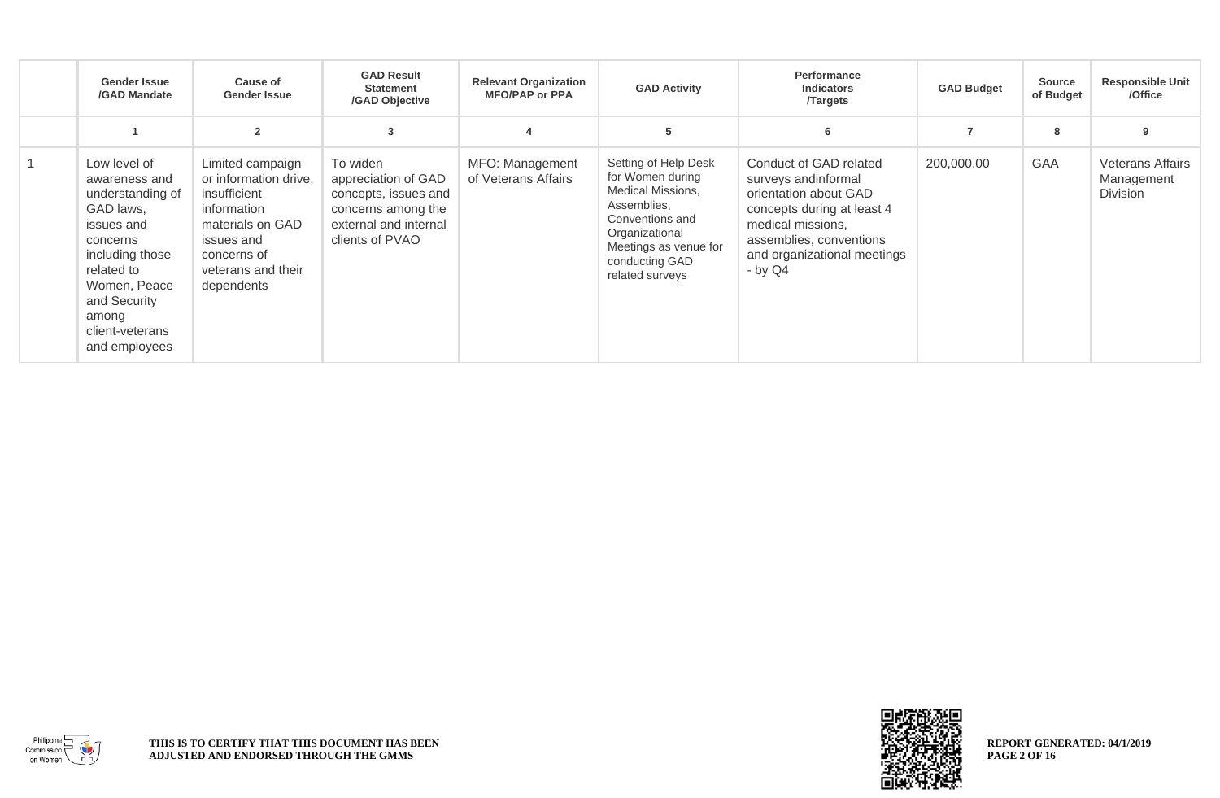| <b>Gender Issue</b><br>/GAD Mandate                                                                                                                                                                    | <b>Cause of</b><br><b>Gender Issue</b>                                                                                                                        | <b>GAD Result</b><br><b>Statement</b><br>/GAD Objective                                                                   | <b>Relevant Organization</b><br><b>MFO/PAP or PPA</b> | <b>GAD Activity</b>                                                                                                                                                             | Performance<br><b>Indicators</b><br><b>Targets</b>                                                                                                                                               | <b>GAD Budget</b> | <b>Source</b><br>of Budget | <b>Responsible Unit</b><br>/Office                |
|--------------------------------------------------------------------------------------------------------------------------------------------------------------------------------------------------------|---------------------------------------------------------------------------------------------------------------------------------------------------------------|---------------------------------------------------------------------------------------------------------------------------|-------------------------------------------------------|---------------------------------------------------------------------------------------------------------------------------------------------------------------------------------|--------------------------------------------------------------------------------------------------------------------------------------------------------------------------------------------------|-------------------|----------------------------|---------------------------------------------------|
|                                                                                                                                                                                                        | $\overline{2}$                                                                                                                                                | 3                                                                                                                         |                                                       | 5                                                                                                                                                                               | 6                                                                                                                                                                                                |                   | 8                          |                                                   |
| Low level of<br>awareness and<br>understanding of<br>GAD laws,<br>issues and<br>concerns<br>including those<br>related to<br>Women, Peace<br>and Security<br>among<br>client-veterans<br>and employees | Limited campaign<br>or information drive,<br>insufficient<br>information<br>materials on GAD<br>issues and<br>concerns of<br>veterans and their<br>dependents | To widen<br>appreciation of GAD<br>concepts, issues and<br>concerns among the<br>external and internal<br>clients of PVAO | MFO: Management<br>of Veterans Affairs                | Setting of Help Desk<br>for Women during<br>Medical Missions,<br>Assemblies.<br>Conventions and<br>Organizational<br>Meetings as venue for<br>conducting GAD<br>related surveys | Conduct of GAD related<br>surveys andinformal<br>orientation about GAD<br>concepts during at least 4<br>medical missions.<br>assemblies, conventions<br>and organizational meetings<br>$-$ by Q4 | 200,000.00        | <b>GAA</b>                 | <b>Veterans Affairs</b><br>Management<br>Division |



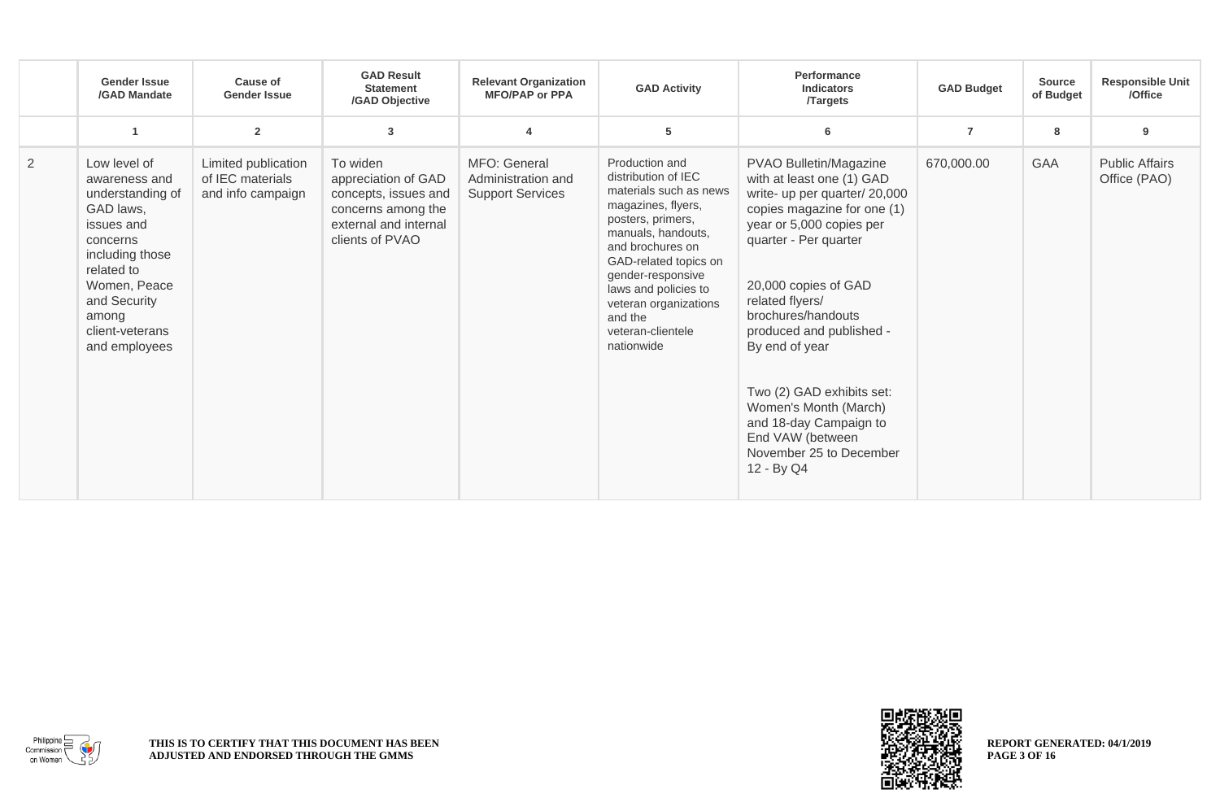|                | <b>Gender Issue</b><br>/GAD Mandate                                                                                                                                                                    | <b>Cause of</b><br><b>Gender Issue</b>                       | <b>GAD Result</b><br><b>Statement</b><br>/GAD Objective                                                                   | <b>Relevant Organization</b><br><b>MFO/PAP or PPA</b>         | <b>GAD Activity</b>                                                                                                                                                                                                                                                                               | Performance<br><b>Indicators</b><br><b>Targets</b>                                                                                                                                                                                                                                                                                                                                                                                   | <b>GAD Budget</b> | <b>Source</b><br>of Budget | <b>Responsible Unit</b><br>/Office    |
|----------------|--------------------------------------------------------------------------------------------------------------------------------------------------------------------------------------------------------|--------------------------------------------------------------|---------------------------------------------------------------------------------------------------------------------------|---------------------------------------------------------------|---------------------------------------------------------------------------------------------------------------------------------------------------------------------------------------------------------------------------------------------------------------------------------------------------|--------------------------------------------------------------------------------------------------------------------------------------------------------------------------------------------------------------------------------------------------------------------------------------------------------------------------------------------------------------------------------------------------------------------------------------|-------------------|----------------------------|---------------------------------------|
|                |                                                                                                                                                                                                        | $\overline{2}$                                               | 3                                                                                                                         |                                                               | 5                                                                                                                                                                                                                                                                                                 | 6                                                                                                                                                                                                                                                                                                                                                                                                                                    | $\overline{7}$    | 8                          | 9                                     |
| $\overline{2}$ | Low level of<br>awareness and<br>understanding of<br>GAD laws,<br>issues and<br>concerns<br>including those<br>related to<br>Women, Peace<br>and Security<br>among<br>client-veterans<br>and employees | Limited publication<br>of IEC materials<br>and info campaign | To widen<br>appreciation of GAD<br>concepts, issues and<br>concerns among the<br>external and internal<br>clients of PVAO | MFO: General<br>Administration and<br><b>Support Services</b> | Production and<br>distribution of IEC<br>materials such as news<br>magazines, flyers,<br>posters, primers,<br>manuals, handouts,<br>and brochures on<br>GAD-related topics on<br>gender-responsive<br>laws and policies to<br>veteran organizations<br>and the<br>veteran-clientele<br>nationwide | PVAO Bulletin/Magazine<br>with at least one (1) GAD<br>write- up per quarter/ 20,000<br>copies magazine for one (1)<br>year or 5,000 copies per<br>quarter - Per quarter<br>20,000 copies of GAD<br>related flyers/<br>brochures/handouts<br>produced and published -<br>By end of year<br>Two (2) GAD exhibits set:<br>Women's Month (March)<br>and 18-day Campaign to<br>End VAW (between<br>November 25 to December<br>12 - By Q4 | 670,000.00        | <b>GAA</b>                 | <b>Public Affairs</b><br>Office (PAO) |



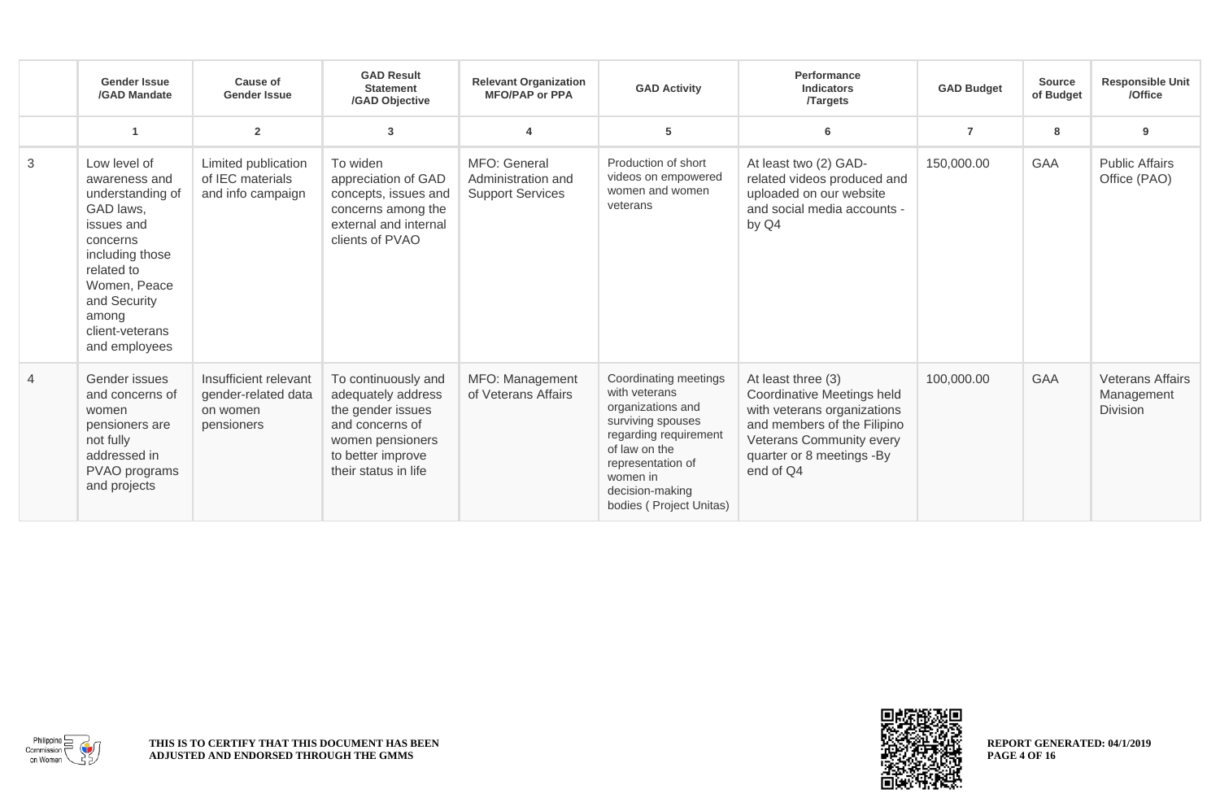|   | <b>Gender Issue</b><br>/GAD Mandate                                                                                                                                                                    | <b>Cause of</b><br><b>Gender Issue</b>                                 | <b>GAD Result</b><br><b>Statement</b><br>/GAD Objective                                                                                            | <b>Relevant Organization</b><br><b>MFO/PAP or PPA</b>         | <b>GAD Activity</b>                                                                                                                                                                                       | Performance<br><b>Indicators</b><br><b>Targets</b>                                                                                                                                   | <b>GAD Budget</b> | <b>Source</b><br>of Budget | <b>Responsible Unit</b><br>/Office                       |
|---|--------------------------------------------------------------------------------------------------------------------------------------------------------------------------------------------------------|------------------------------------------------------------------------|----------------------------------------------------------------------------------------------------------------------------------------------------|---------------------------------------------------------------|-----------------------------------------------------------------------------------------------------------------------------------------------------------------------------------------------------------|--------------------------------------------------------------------------------------------------------------------------------------------------------------------------------------|-------------------|----------------------------|----------------------------------------------------------|
|   | 1                                                                                                                                                                                                      | $\overline{2}$                                                         | 3                                                                                                                                                  |                                                               | 5                                                                                                                                                                                                         | 6                                                                                                                                                                                    | $\overline{7}$    | 8                          | 9                                                        |
| 3 | Low level of<br>awareness and<br>understanding of<br>GAD laws,<br>issues and<br>concerns<br>including those<br>related to<br>Women, Peace<br>and Security<br>among<br>client-veterans<br>and employees | Limited publication<br>of IEC materials<br>and info campaign           | To widen<br>appreciation of GAD<br>concepts, issues and<br>concerns among the<br>external and internal<br>clients of PVAO                          | MFO: General<br>Administration and<br><b>Support Services</b> | Production of short<br>videos on empowered<br>women and women<br>veterans                                                                                                                                 | At least two (2) GAD-<br>related videos produced and<br>uploaded on our website<br>and social media accounts -<br>by Q4                                                              | 150,000.00        | GAA                        | <b>Public Affairs</b><br>Office (PAO)                    |
| 4 | Gender issues<br>and concerns of<br>women<br>pensioners are<br>not fully<br>addressed in<br>PVAO programs<br>and projects                                                                              | Insufficient relevant<br>gender-related data<br>on women<br>pensioners | To continuously and<br>adequately address<br>the gender issues<br>and concerns of<br>women pensioners<br>to better improve<br>their status in life | MFO: Management<br>of Veterans Affairs                        | Coordinating meetings<br>with veterans<br>organizations and<br>surviving spouses<br>regarding requirement<br>of law on the<br>representation of<br>women in<br>decision-making<br>bodies (Project Unitas) | At least three (3)<br>Coordinative Meetings held<br>with veterans organizations<br>and members of the Filipino<br>Veterans Community every<br>quarter or 8 meetings -By<br>end of Q4 | 100,000.00        | <b>GAA</b>                 | <b>Veterans Affairs</b><br>Management<br><b>Division</b> |



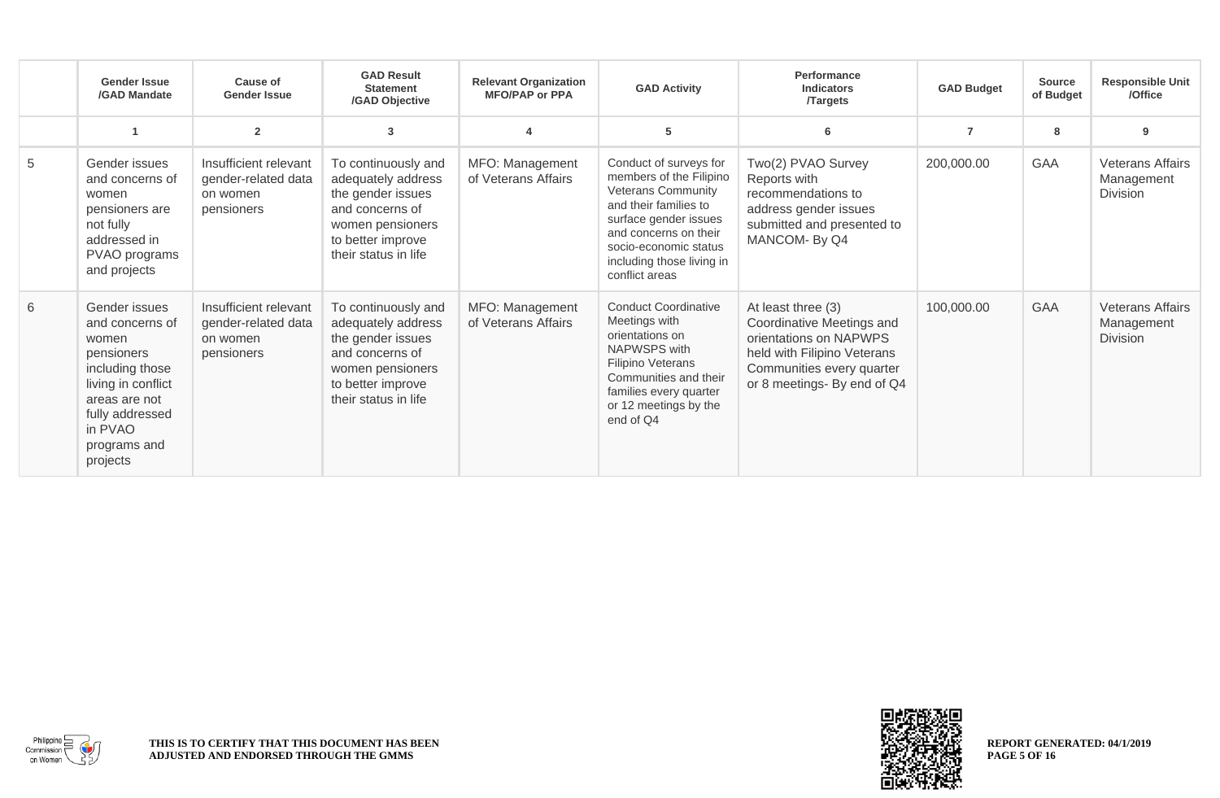|   | <b>Gender Issue</b><br>/GAD Mandate                                                                                                                                         | Cause of<br><b>Gender Issue</b>                                        | <b>GAD Result</b><br><b>Statement</b><br>/GAD Objective                                                                                            | <b>Relevant Organization</b><br><b>MFO/PAP or PPA</b> | <b>GAD Activity</b>                                                                                                                                                                                                               | Performance<br><b>Indicators</b><br><b>Targets</b>                                                                                                                   | <b>GAD Budget</b> | <b>Source</b><br>of Budget | <b>Responsible Unit</b><br>/Office                       |
|---|-----------------------------------------------------------------------------------------------------------------------------------------------------------------------------|------------------------------------------------------------------------|----------------------------------------------------------------------------------------------------------------------------------------------------|-------------------------------------------------------|-----------------------------------------------------------------------------------------------------------------------------------------------------------------------------------------------------------------------------------|----------------------------------------------------------------------------------------------------------------------------------------------------------------------|-------------------|----------------------------|----------------------------------------------------------|
|   |                                                                                                                                                                             | $\overline{2}$                                                         | 3                                                                                                                                                  |                                                       | 5                                                                                                                                                                                                                                 |                                                                                                                                                                      |                   | 8                          | 9                                                        |
| 5 | Gender issues<br>and concerns of<br>women<br>pensioners are<br>not fully<br>addressed in<br>PVAO programs<br>and projects                                                   | Insufficient relevant<br>gender-related data<br>on women<br>pensioners | To continuously and<br>adequately address<br>the gender issues<br>and concerns of<br>women pensioners<br>to better improve<br>their status in life | MFO: Management<br>of Veterans Affairs                | Conduct of surveys for<br>members of the Filipino<br><b>Veterans Community</b><br>and their families to<br>surface gender issues<br>and concerns on their<br>socio-economic status<br>including those living in<br>conflict areas | Two(2) PVAO Survey<br>Reports with<br>recommendations to<br>address gender issues<br>submitted and presented to<br>MANCOM-By Q4                                      | 200,000.00        | GAA                        | <b>Veterans Affairs</b><br>Management<br><b>Division</b> |
| 6 | Gender issues<br>and concerns of<br>women<br>pensioners<br>including those<br>living in conflict<br>areas are not<br>fully addressed<br>in PVAO<br>programs and<br>projects | Insufficient relevant<br>gender-related data<br>on women<br>pensioners | To continuously and<br>adequately address<br>the gender issues<br>and concerns of<br>women pensioners<br>to better improve<br>their status in life | MFO: Management<br>of Veterans Affairs                | <b>Conduct Coordinative</b><br>Meetings with<br>orientations on<br>NAPWSPS with<br><b>Filipino Veterans</b><br>Communities and their<br>families every quarter<br>or 12 meetings by the<br>end of Q4                              | At least three (3)<br>Coordinative Meetings and<br>orientations on NAPWPS<br>held with Filipino Veterans<br>Communities every quarter<br>or 8 meetings- By end of Q4 | 100,000.00        | <b>GAA</b>                 | <b>Veterans Affairs</b><br>Management<br><b>Division</b> |



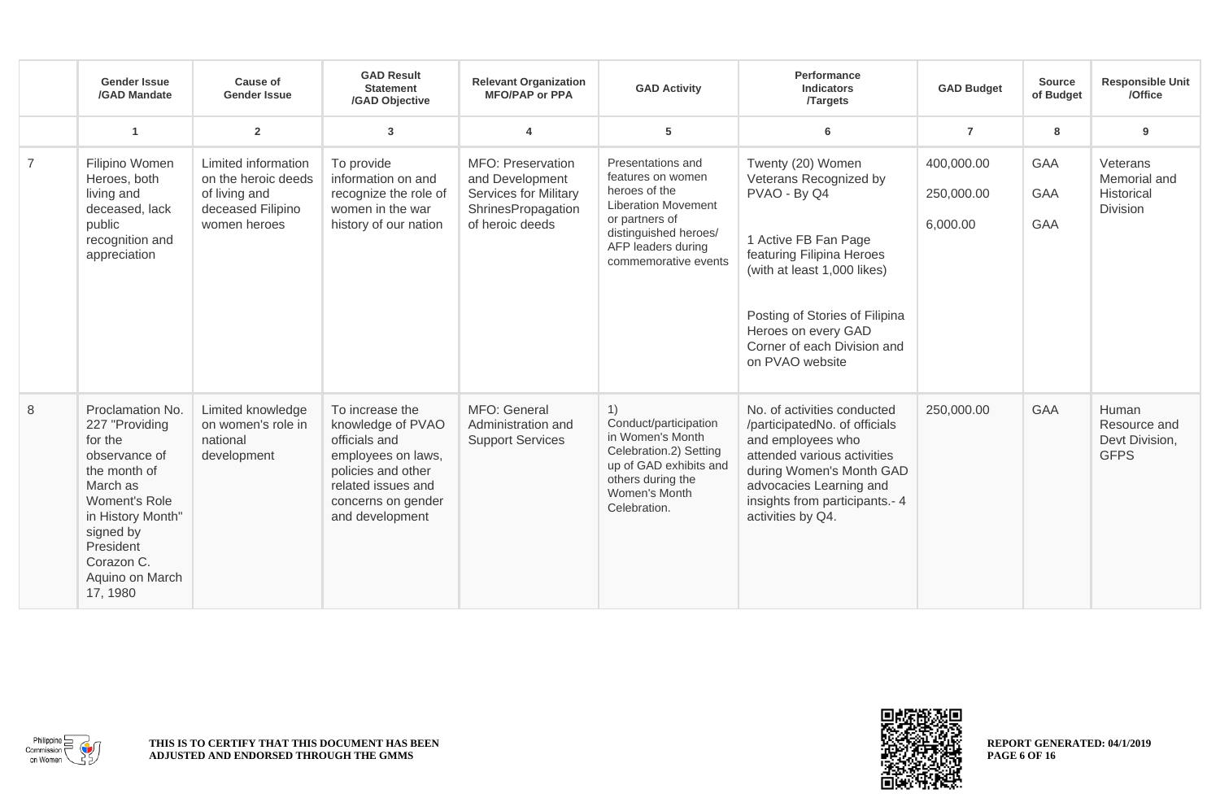|                | <b>Gender Issue</b><br>/GAD Mandate                                                                                                                                                                     | Cause of<br><b>Gender Issue</b>                                                                  | <b>GAD Result</b><br><b>Statement</b><br>/GAD Objective                                                                                                          | <b>Relevant Organization</b><br><b>MFO/PAP or PPA</b>                                                         | <b>GAD Activity</b>                                                                                                                                                            | Performance<br><b>Indicators</b><br><b>Targets</b>                                                                                                                                                                                                         | <b>GAD Budget</b>                    | <b>Source</b><br>of Budget | <b>Responsible Unit</b><br>/Office                        |
|----------------|---------------------------------------------------------------------------------------------------------------------------------------------------------------------------------------------------------|--------------------------------------------------------------------------------------------------|------------------------------------------------------------------------------------------------------------------------------------------------------------------|---------------------------------------------------------------------------------------------------------------|--------------------------------------------------------------------------------------------------------------------------------------------------------------------------------|------------------------------------------------------------------------------------------------------------------------------------------------------------------------------------------------------------------------------------------------------------|--------------------------------------|----------------------------|-----------------------------------------------------------|
|                | $\overline{1}$                                                                                                                                                                                          | $\overline{2}$                                                                                   | $\mathbf{3}$                                                                                                                                                     | $\overline{4}$                                                                                                | 5                                                                                                                                                                              | 6                                                                                                                                                                                                                                                          | $\overline{7}$                       | 8                          | 9                                                         |
| $\overline{7}$ | Filipino Women<br>Heroes, both<br>living and<br>deceased, lack<br>public<br>recognition and<br>appreciation                                                                                             | Limited information<br>on the heroic deeds<br>of living and<br>deceased Filipino<br>women heroes | To provide<br>information on and<br>recognize the role of<br>women in the war<br>history of our nation                                                           | MFO: Preservation<br>and Development<br><b>Services for Military</b><br>ShrinesPropagation<br>of heroic deeds | Presentations and<br>features on women<br>heroes of the<br><b>Liberation Movement</b><br>or partners of<br>distinguished heroes/<br>AFP leaders during<br>commemorative events | Twenty (20) Women<br>Veterans Recognized by<br>PVAO - By Q4<br>1 Active FB Fan Page<br>featuring Filipina Heroes<br>(with at least 1,000 likes)<br>Posting of Stories of Filipina<br>Heroes on every GAD<br>Corner of each Division and<br>on PVAO website | 400,000.00<br>250,000.00<br>6,000.00 | GAA<br>GAA<br><b>GAA</b>   | Veterans<br>Memorial and<br>Historical<br><b>Division</b> |
| $\,8\,$        | Proclamation No.<br>227 "Providing<br>for the<br>observance of<br>the month of<br>March as<br>Woment's Role<br>in History Month"<br>signed by<br>President<br>Corazon C.<br>Aquino on March<br>17, 1980 | Limited knowledge<br>on women's role in<br>national<br>development                               | To increase the<br>knowledge of PVAO<br>officials and<br>employees on laws,<br>policies and other<br>related issues and<br>concerns on gender<br>and development | MFO: General<br>Administration and<br><b>Support Services</b>                                                 | 1)<br>Conduct/participation<br>in Women's Month<br>Celebration.2) Setting<br>up of GAD exhibits and<br>others during the<br>Women's Month<br>Celebration.                      | No. of activities conducted<br>/participatedNo. of officials<br>and employees who<br>attended various activities<br>during Women's Month GAD<br>advocacies Learning and<br>insights from participants.- 4<br>activities by Q4.                             | 250,000.00                           | <b>GAA</b>                 | Human<br>Resource and<br>Devt Division,<br><b>GFPS</b>    |



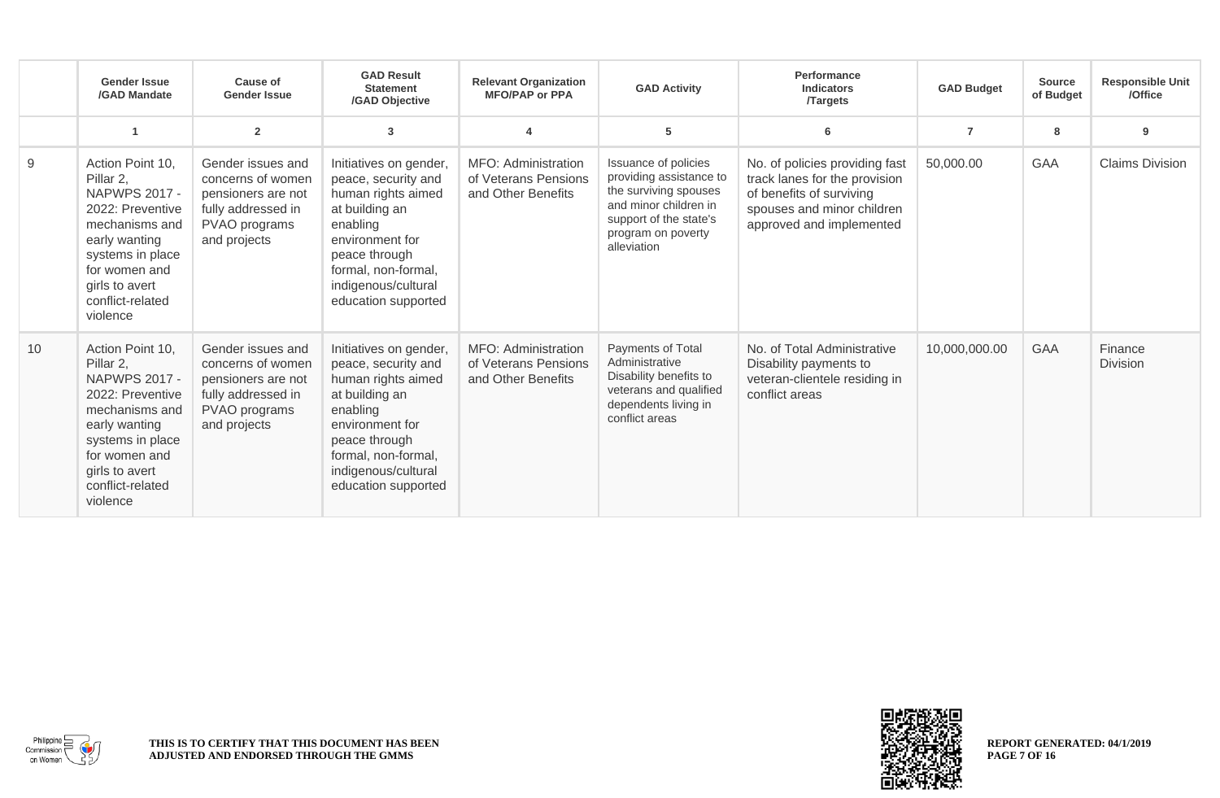|    | <b>Gender Issue</b><br>/GAD Mandate                                                                                                                                                                 | Cause of<br><b>Gender Issue</b>                                                                                     | <b>GAD Result</b><br><b>Statement</b><br>/GAD Objective                                                                                                                                                    | <b>Relevant Organization</b><br><b>MFO/PAP or PPA</b>             | <b>GAD Activity</b>                                                                                                                                              | Performance<br><b>Indicators</b><br><b>Targets</b>                                                                                                    | <b>GAD Budget</b> | <b>Source</b><br>of Budget | <b>Responsible Unit</b><br>/Office |
|----|-----------------------------------------------------------------------------------------------------------------------------------------------------------------------------------------------------|---------------------------------------------------------------------------------------------------------------------|------------------------------------------------------------------------------------------------------------------------------------------------------------------------------------------------------------|-------------------------------------------------------------------|------------------------------------------------------------------------------------------------------------------------------------------------------------------|-------------------------------------------------------------------------------------------------------------------------------------------------------|-------------------|----------------------------|------------------------------------|
|    |                                                                                                                                                                                                     | $\overline{2}$                                                                                                      | 3                                                                                                                                                                                                          |                                                                   | 5                                                                                                                                                                | 6                                                                                                                                                     | $\overline{7}$    | 8                          | 9                                  |
| 9  | Action Point 10,<br>Pillar 2,<br><b>NAPWPS 2017 -</b><br>2022: Preventive<br>mechanisms and<br>early wanting<br>systems in place<br>for women and<br>girls to avert<br>conflict-related<br>violence | Gender issues and<br>concerns of women<br>pensioners are not<br>fully addressed in<br>PVAO programs<br>and projects | Initiatives on gender,<br>peace, security and<br>human rights aimed<br>at building an<br>enabling<br>environment for<br>peace through<br>formal, non-formal,<br>indigenous/cultural<br>education supported | MFO: Administration<br>of Veterans Pensions<br>and Other Benefits | Issuance of policies<br>providing assistance to<br>the surviving spouses<br>and minor children in<br>support of the state's<br>program on poverty<br>alleviation | No. of policies providing fast<br>track lanes for the provision<br>of benefits of surviving<br>spouses and minor children<br>approved and implemented | 50,000.00         | <b>GAA</b>                 | <b>Claims Division</b>             |
| 10 | Action Point 10,<br>Pillar 2,<br><b>NAPWPS 2017 -</b><br>2022: Preventive<br>mechanisms and<br>early wanting<br>systems in place<br>for women and<br>girls to avert<br>conflict-related<br>violence | Gender issues and<br>concerns of women<br>pensioners are not<br>fully addressed in<br>PVAO programs<br>and projects | Initiatives on gender,<br>peace, security and<br>human rights aimed<br>at building an<br>enabling<br>environment for<br>peace through<br>formal, non-formal,<br>indigenous/cultural<br>education supported | MFO: Administration<br>of Veterans Pensions<br>and Other Benefits | Payments of Total<br>Administrative<br>Disability benefits to<br>veterans and qualified<br>dependents living in<br>conflict areas                                | No. of Total Administrative<br>Disability payments to<br>veteran-clientele residing in<br>conflict areas                                              | 10,000,000.00     | <b>GAA</b>                 | Finance<br><b>Division</b>         |



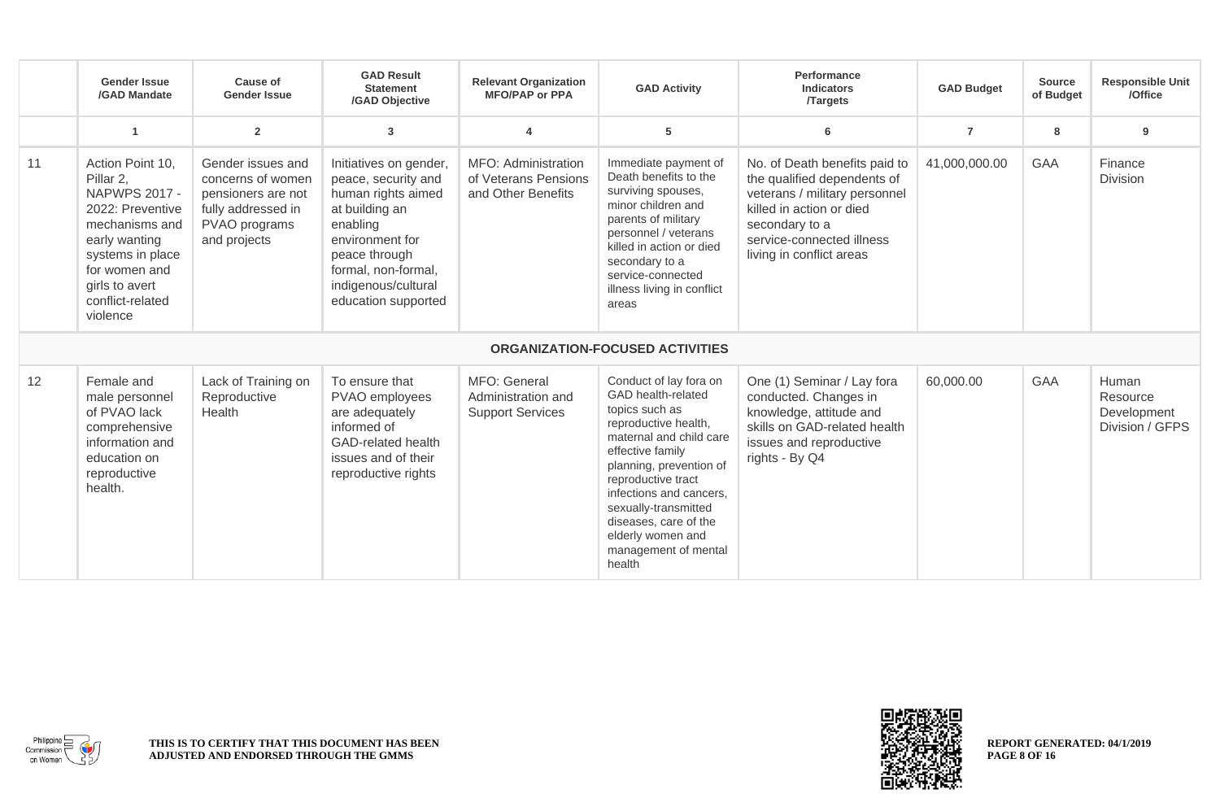|    | <b>Gender Issue</b><br>/GAD Mandate                                                                                                                                                                 | Cause of<br><b>Gender Issue</b>                                                                                     | <b>GAD Result</b><br><b>Statement</b><br>/GAD Objective                                                                                                                                                    | <b>Relevant Organization</b><br><b>MFO/PAP or PPA</b>             | <b>GAD Activity</b>                                                                                                                                                                                                                                                                                                       | Performance<br><b>Indicators</b><br><b>Targets</b>                                                                                                                                                   | <b>GAD Budget</b> | <b>Source</b><br>of Budget | <b>Responsible Unit</b><br>/Office                  |
|----|-----------------------------------------------------------------------------------------------------------------------------------------------------------------------------------------------------|---------------------------------------------------------------------------------------------------------------------|------------------------------------------------------------------------------------------------------------------------------------------------------------------------------------------------------------|-------------------------------------------------------------------|---------------------------------------------------------------------------------------------------------------------------------------------------------------------------------------------------------------------------------------------------------------------------------------------------------------------------|------------------------------------------------------------------------------------------------------------------------------------------------------------------------------------------------------|-------------------|----------------------------|-----------------------------------------------------|
|    | $\overline{1}$                                                                                                                                                                                      | $\overline{2}$                                                                                                      | 3                                                                                                                                                                                                          | $\overline{\mathbf{A}}$                                           | 5                                                                                                                                                                                                                                                                                                                         | 6                                                                                                                                                                                                    | $\overline{7}$    | 8                          | 9                                                   |
| 11 | Action Point 10,<br>Pillar 2,<br><b>NAPWPS 2017 -</b><br>2022: Preventive<br>mechanisms and<br>early wanting<br>systems in place<br>for women and<br>girls to avert<br>conflict-related<br>violence | Gender issues and<br>concerns of women<br>pensioners are not<br>fully addressed in<br>PVAO programs<br>and projects | Initiatives on gender,<br>peace, security and<br>human rights aimed<br>at building an<br>enabling<br>environment for<br>peace through<br>formal, non-formal,<br>indigenous/cultural<br>education supported | MFO: Administration<br>of Veterans Pensions<br>and Other Benefits | Immediate payment of<br>Death benefits to the<br>surviving spouses,<br>minor children and<br>parents of military<br>personnel / veterans<br>killed in action or died<br>secondary to a<br>service-connected<br>illness living in conflict<br>areas                                                                        | No. of Death benefits paid to<br>the qualified dependents of<br>veterans / military personnel<br>killed in action or died<br>secondary to a<br>service-connected illness<br>living in conflict areas | 41,000,000.00     | GAA                        | Finance<br>Division                                 |
|    |                                                                                                                                                                                                     |                                                                                                                     |                                                                                                                                                                                                            |                                                                   | <b>ORGANIZATION-FOCUSED ACTIVITIES</b>                                                                                                                                                                                                                                                                                    |                                                                                                                                                                                                      |                   |                            |                                                     |
| 12 | Female and<br>male personnel<br>of PVAO lack<br>comprehensive<br>information and<br>education on<br>reproductive<br>health.                                                                         | Lack of Training on<br>Reproductive<br>Health                                                                       | To ensure that<br>PVAO employees<br>are adequately<br>informed of<br><b>GAD-related health</b><br>issues and of their<br>reproductive rights                                                               | MFO: General<br>Administration and<br><b>Support Services</b>     | Conduct of lay fora on<br>GAD health-related<br>topics such as<br>reproductive health,<br>maternal and child care<br>effective family<br>planning, prevention of<br>reproductive tract<br>infections and cancers.<br>sexually-transmitted<br>diseases, care of the<br>elderly women and<br>management of mental<br>health | One (1) Seminar / Lay fora<br>conducted. Changes in<br>knowledge, attitude and<br>skills on GAD-related health<br>issues and reproductive<br>rights - By Q4                                          | 60,000.00         | <b>GAA</b>                 | Human<br>Resource<br>Development<br>Division / GFPS |



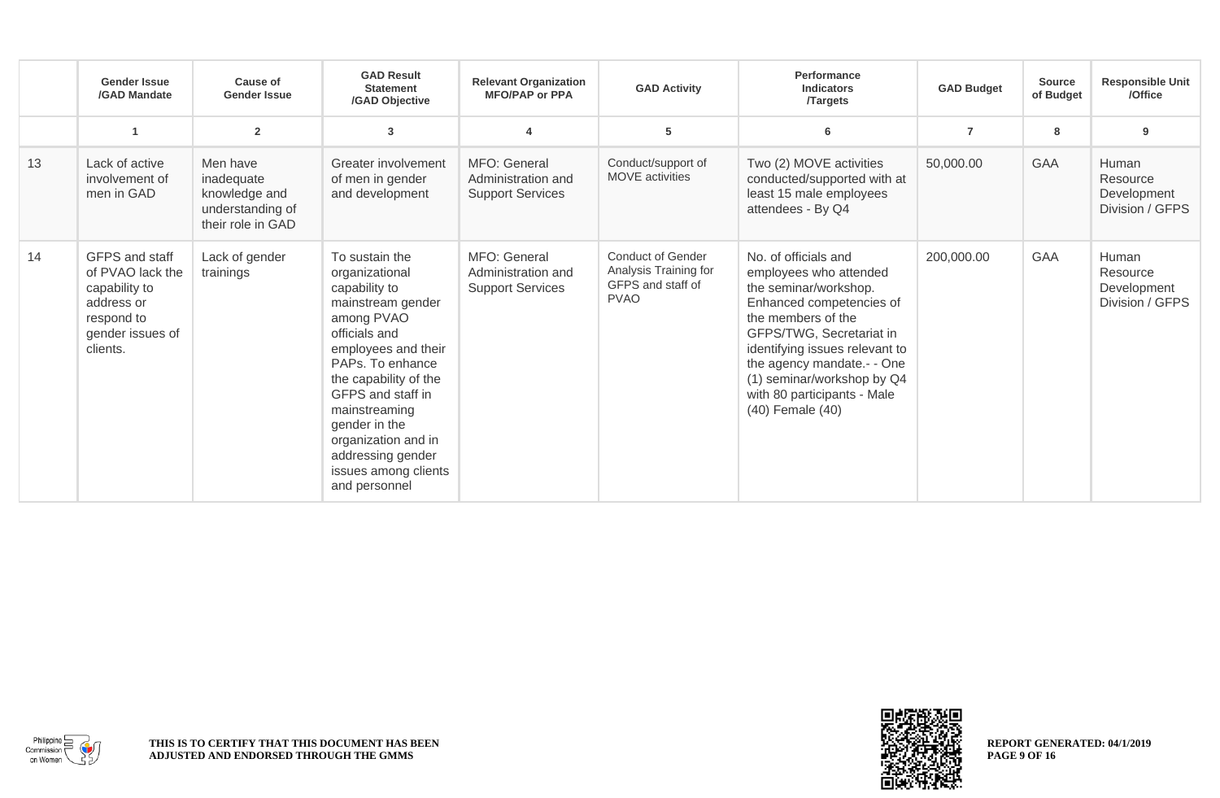|    | <b>Gender Issue</b><br>/GAD Mandate                                                                             | Cause of<br><b>Gender Issue</b>                                                  | <b>GAD Result</b><br><b>Statement</b><br>/GAD Objective                                                                                                                                                                                                                                                               | <b>Relevant Organization</b><br><b>MFO/PAP or PPA</b>         | <b>GAD Activity</b>                                                                   | Performance<br><b>Indicators</b><br><b>Targets</b>                                                                                                                                                                                                                                                      | <b>GAD Budget</b> | <b>Source</b><br>of Budget | <b>Responsible Unit</b><br>/Office                  |
|----|-----------------------------------------------------------------------------------------------------------------|----------------------------------------------------------------------------------|-----------------------------------------------------------------------------------------------------------------------------------------------------------------------------------------------------------------------------------------------------------------------------------------------------------------------|---------------------------------------------------------------|---------------------------------------------------------------------------------------|---------------------------------------------------------------------------------------------------------------------------------------------------------------------------------------------------------------------------------------------------------------------------------------------------------|-------------------|----------------------------|-----------------------------------------------------|
|    | 1                                                                                                               | $\overline{2}$                                                                   | 3                                                                                                                                                                                                                                                                                                                     |                                                               | 5                                                                                     | 6                                                                                                                                                                                                                                                                                                       | $\overline{7}$    | 8                          | 9                                                   |
| 13 | Lack of active<br>involvement of<br>men in GAD                                                                  | Men have<br>inadequate<br>knowledge and<br>understanding of<br>their role in GAD | Greater involvement<br>of men in gender<br>and development                                                                                                                                                                                                                                                            | MFO: General<br>Administration and<br><b>Support Services</b> | Conduct/support of<br><b>MOVE</b> activities                                          | Two (2) MOVE activities<br>conducted/supported with at<br>least 15 male employees<br>attendees - By Q4                                                                                                                                                                                                  | 50,000.00         | <b>GAA</b>                 | Human<br>Resource<br>Development<br>Division / GFPS |
| 14 | GFPS and staff<br>of PVAO lack the<br>capability to<br>address or<br>respond to<br>gender issues of<br>clients. | Lack of gender<br>trainings                                                      | To sustain the<br>organizational<br>capability to<br>mainstream gender<br>among PVAO<br>officials and<br>employees and their<br>PAPs. To enhance<br>the capability of the<br>GFPS and staff in<br>mainstreaming<br>gender in the<br>organization and in<br>addressing gender<br>issues among clients<br>and personnel | MFO: General<br>Administration and<br><b>Support Services</b> | <b>Conduct of Gender</b><br>Analysis Training for<br>GFPS and staff of<br><b>PVAO</b> | No. of officials and<br>employees who attended<br>the seminar/workshop.<br>Enhanced competencies of<br>the members of the<br>GFPS/TWG, Secretariat in<br>identifying issues relevant to<br>the agency mandate .- - One<br>(1) seminar/workshop by Q4<br>with 80 participants - Male<br>(40) Female (40) | 200,000.00        | <b>GAA</b>                 | Human<br>Resource<br>Development<br>Division / GFPS |



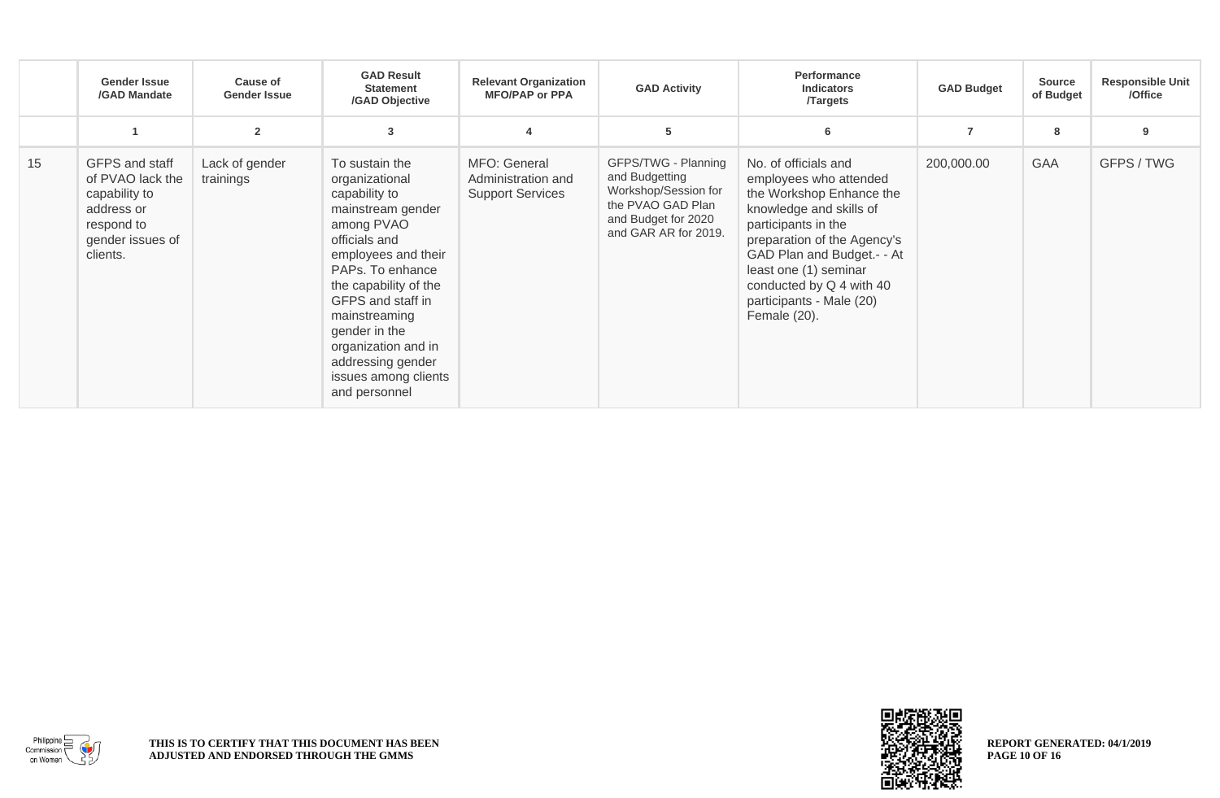|    | <b>Gender Issue</b><br>/GAD Mandate                                                                             | <b>Cause of</b><br><b>Gender Issue</b> | <b>GAD Result</b><br><b>Statement</b><br>/GAD Objective                                                                                                                                                                                                                                                               | <b>Relevant Organization</b><br><b>MFO/PAP or PPA</b>         | <b>GAD Activity</b>                                                                                                               | Performance<br><b>Indicators</b><br><b>Targets</b>                                                                                                                                                                                                                                         | <b>GAD Budget</b> | <b>Source</b><br>of Budget | <b>Responsible Unit</b><br>/Office |
|----|-----------------------------------------------------------------------------------------------------------------|----------------------------------------|-----------------------------------------------------------------------------------------------------------------------------------------------------------------------------------------------------------------------------------------------------------------------------------------------------------------------|---------------------------------------------------------------|-----------------------------------------------------------------------------------------------------------------------------------|--------------------------------------------------------------------------------------------------------------------------------------------------------------------------------------------------------------------------------------------------------------------------------------------|-------------------|----------------------------|------------------------------------|
|    |                                                                                                                 | $\overline{2}$                         | 3                                                                                                                                                                                                                                                                                                                     |                                                               | 5                                                                                                                                 | 6                                                                                                                                                                                                                                                                                          | $\overline{7}$    | 8                          | 9                                  |
| 15 | GFPS and staff<br>of PVAO lack the<br>capability to<br>address or<br>respond to<br>gender issues of<br>clients. | Lack of gender<br>trainings            | To sustain the<br>organizational<br>capability to<br>mainstream gender<br>among PVAO<br>officials and<br>employees and their<br>PAPs. To enhance<br>the capability of the<br>GFPS and staff in<br>mainstreaming<br>gender in the<br>organization and in<br>addressing gender<br>issues among clients<br>and personnel | MFO: General<br>Administration and<br><b>Support Services</b> | GFPS/TWG - Planning<br>and Budgetting<br>Workshop/Session for<br>the PVAO GAD Plan<br>and Budget for 2020<br>and GAR AR for 2019. | No. of officials and<br>employees who attended<br>the Workshop Enhance the<br>knowledge and skills of<br>participants in the<br>preparation of the Agency's<br>GAD Plan and Budget.- - At<br>least one (1) seminar<br>conducted by Q 4 with 40<br>participants - Male (20)<br>Female (20). | 200,000.00        | <b>GAA</b>                 | GFPS / TWG                         |

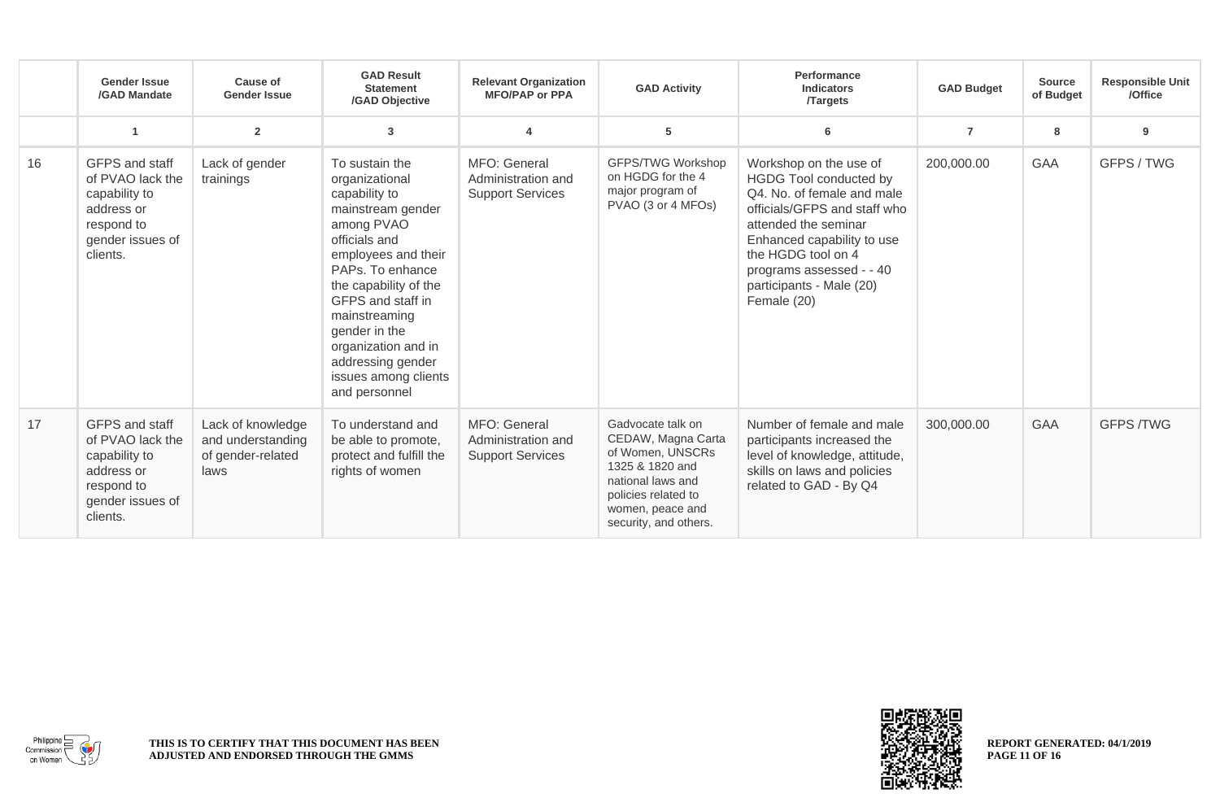|    | <b>Gender Issue</b><br>/GAD Mandate                                                                             | Cause of<br><b>Gender Issue</b>                                     | <b>GAD Result</b><br><b>Statement</b><br>/GAD Objective                                                                                                                                                                                                                                                               | <b>Relevant Organization</b><br><b>MFO/PAP or PPA</b>         | <b>GAD Activity</b>                                                                                                                                                     | Performance<br><b>Indicators</b><br><b>Targets</b>                                                                                                                                                                                                                | <b>GAD Budget</b> | <b>Source</b><br>of Budget | <b>Responsible Unit</b><br>/Office |
|----|-----------------------------------------------------------------------------------------------------------------|---------------------------------------------------------------------|-----------------------------------------------------------------------------------------------------------------------------------------------------------------------------------------------------------------------------------------------------------------------------------------------------------------------|---------------------------------------------------------------|-------------------------------------------------------------------------------------------------------------------------------------------------------------------------|-------------------------------------------------------------------------------------------------------------------------------------------------------------------------------------------------------------------------------------------------------------------|-------------------|----------------------------|------------------------------------|
|    |                                                                                                                 | $\overline{2}$                                                      | 3                                                                                                                                                                                                                                                                                                                     |                                                               | 5                                                                                                                                                                       | 6                                                                                                                                                                                                                                                                 | $\overline{7}$    | 8                          | 9                                  |
| 16 | GFPS and staff<br>of PVAO lack the<br>capability to<br>address or<br>respond to<br>gender issues of<br>clients. | Lack of gender<br>trainings                                         | To sustain the<br>organizational<br>capability to<br>mainstream gender<br>among PVAO<br>officials and<br>employees and their<br>PAPs. To enhance<br>the capability of the<br>GFPS and staff in<br>mainstreaming<br>gender in the<br>organization and in<br>addressing gender<br>issues among clients<br>and personnel | MFO: General<br>Administration and<br><b>Support Services</b> | <b>GFPS/TWG Workshop</b><br>on HGDG for the 4<br>major program of<br>PVAO (3 or 4 MFOs)                                                                                 | Workshop on the use of<br>HGDG Tool conducted by<br>Q4. No. of female and male<br>officials/GFPS and staff who<br>attended the seminar<br>Enhanced capability to use<br>the HGDG tool on 4<br>programs assessed - - 40<br>participants - Male (20)<br>Female (20) | 200,000.00        | <b>GAA</b>                 | GFPS / TWG                         |
| 17 | GFPS and staff<br>of PVAO lack the<br>capability to<br>address or<br>respond to<br>gender issues of<br>clients. | Lack of knowledge<br>and understanding<br>of gender-related<br>laws | To understand and<br>be able to promote,<br>protect and fulfill the<br>rights of women                                                                                                                                                                                                                                | MFO: General<br>Administration and<br><b>Support Services</b> | Gadvocate talk on<br>CEDAW, Magna Carta<br>of Women, UNSCRs<br>1325 & 1820 and<br>national laws and<br>policies related to<br>women, peace and<br>security, and others. | Number of female and male<br>participants increased the<br>level of knowledge, attitude,<br>skills on laws and policies<br>related to GAD - By Q4                                                                                                                 | 300,000.00        | <b>GAA</b>                 | <b>GFPS /TWG</b>                   |



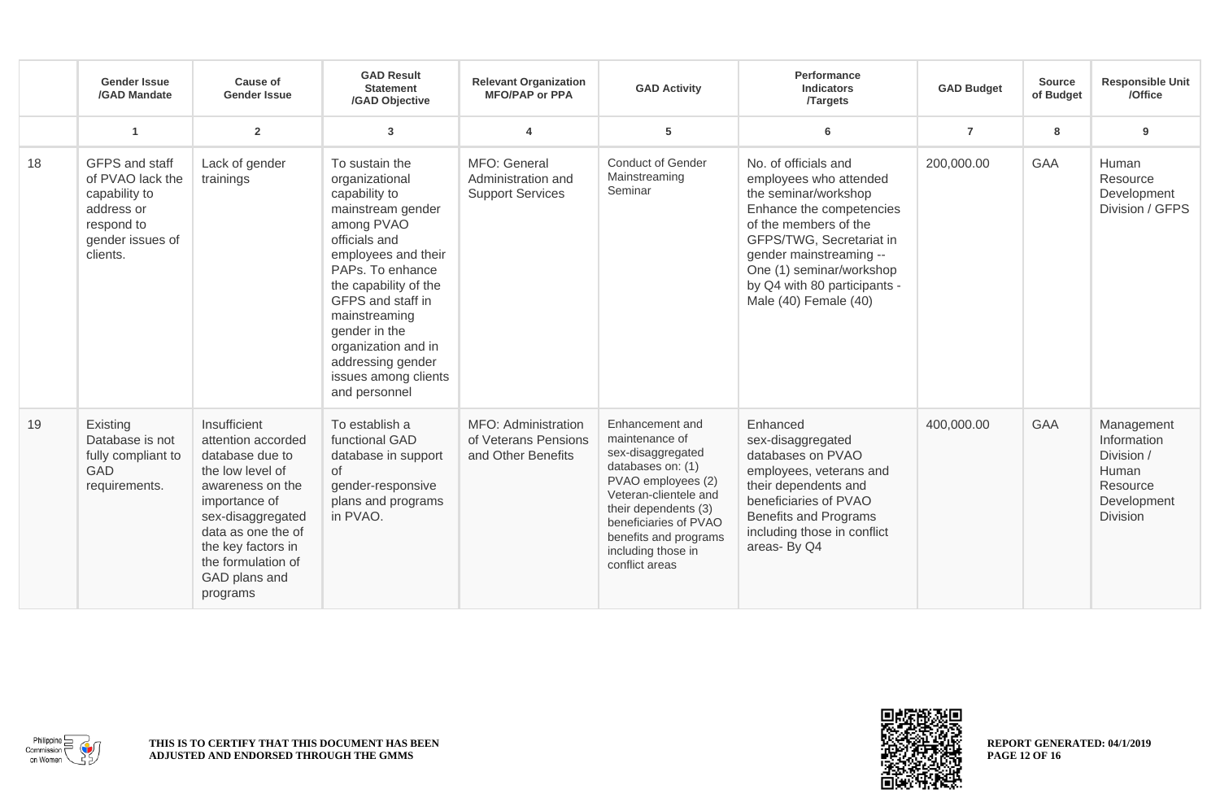|    | <b>Gender Issue</b><br>/GAD Mandate                                                                             | <b>Cause of</b><br><b>Gender Issue</b>                                                                                                                                                                                             | <b>GAD Result</b><br><b>Statement</b><br>/GAD Objective                                                                                                                                                                                                                                                               | <b>Relevant Organization</b><br><b>MFO/PAP or PPA</b>             | <b>GAD Activity</b>                                                                                                                                                                                                                          | Performance<br><b>Indicators</b><br><b>Targets</b>                                                                                                                                                                                                                      | <b>GAD Budget</b> | <b>Source</b><br>of Budget | <b>Responsible Unit</b><br>/Office                                                             |
|----|-----------------------------------------------------------------------------------------------------------------|------------------------------------------------------------------------------------------------------------------------------------------------------------------------------------------------------------------------------------|-----------------------------------------------------------------------------------------------------------------------------------------------------------------------------------------------------------------------------------------------------------------------------------------------------------------------|-------------------------------------------------------------------|----------------------------------------------------------------------------------------------------------------------------------------------------------------------------------------------------------------------------------------------|-------------------------------------------------------------------------------------------------------------------------------------------------------------------------------------------------------------------------------------------------------------------------|-------------------|----------------------------|------------------------------------------------------------------------------------------------|
|    | $\mathbf{1}$                                                                                                    | $\overline{2}$                                                                                                                                                                                                                     | 3                                                                                                                                                                                                                                                                                                                     | 4                                                                 | ${\bf 5}$                                                                                                                                                                                                                                    | 6                                                                                                                                                                                                                                                                       | $\overline{7}$    | 8                          | 9                                                                                              |
| 18 | GFPS and staff<br>of PVAO lack the<br>capability to<br>address or<br>respond to<br>gender issues of<br>clients. | Lack of gender<br>trainings                                                                                                                                                                                                        | To sustain the<br>organizational<br>capability to<br>mainstream gender<br>among PVAO<br>officials and<br>employees and their<br>PAPs. To enhance<br>the capability of the<br>GFPS and staff in<br>mainstreaming<br>gender in the<br>organization and in<br>addressing gender<br>issues among clients<br>and personnel | MFO: General<br>Administration and<br><b>Support Services</b>     | <b>Conduct of Gender</b><br>Mainstreaming<br>Seminar                                                                                                                                                                                         | No. of officials and<br>employees who attended<br>the seminar/workshop<br>Enhance the competencies<br>of the members of the<br>GFPS/TWG, Secretariat in<br>gender mainstreaming --<br>One (1) seminar/workshop<br>by Q4 with 80 participants -<br>Male (40) Female (40) | 200,000.00        | <b>GAA</b>                 | Human<br>Resource<br>Development<br>Division / GFPS                                            |
| 19 | Existing<br>Database is not<br>fully compliant to<br><b>GAD</b><br>requirements.                                | Insufficient<br>attention accorded<br>database due to<br>the low level of<br>awareness on the<br>importance of<br>sex-disaggregated<br>data as one the of<br>the key factors in<br>the formulation of<br>GAD plans and<br>programs | To establish a<br>functional GAD<br>database in support<br>of<br>gender-responsive<br>plans and programs<br>in PVAO.                                                                                                                                                                                                  | MFO: Administration<br>of Veterans Pensions<br>and Other Benefits | Enhancement and<br>maintenance of<br>sex-disaggregated<br>databases on: (1)<br>PVAO employees (2)<br>Veteran-clientele and<br>their dependents (3)<br>beneficiaries of PVAO<br>benefits and programs<br>including those in<br>conflict areas | Enhanced<br>sex-disaggregated<br>databases on PVAO<br>employees, veterans and<br>their dependents and<br>beneficiaries of PVAO<br><b>Benefits and Programs</b><br>including those in conflict<br>areas- By Q4                                                           | 400,000.00        | <b>GAA</b>                 | Management<br>Information<br>Division /<br>Human<br>Resource<br>Development<br><b>Division</b> |



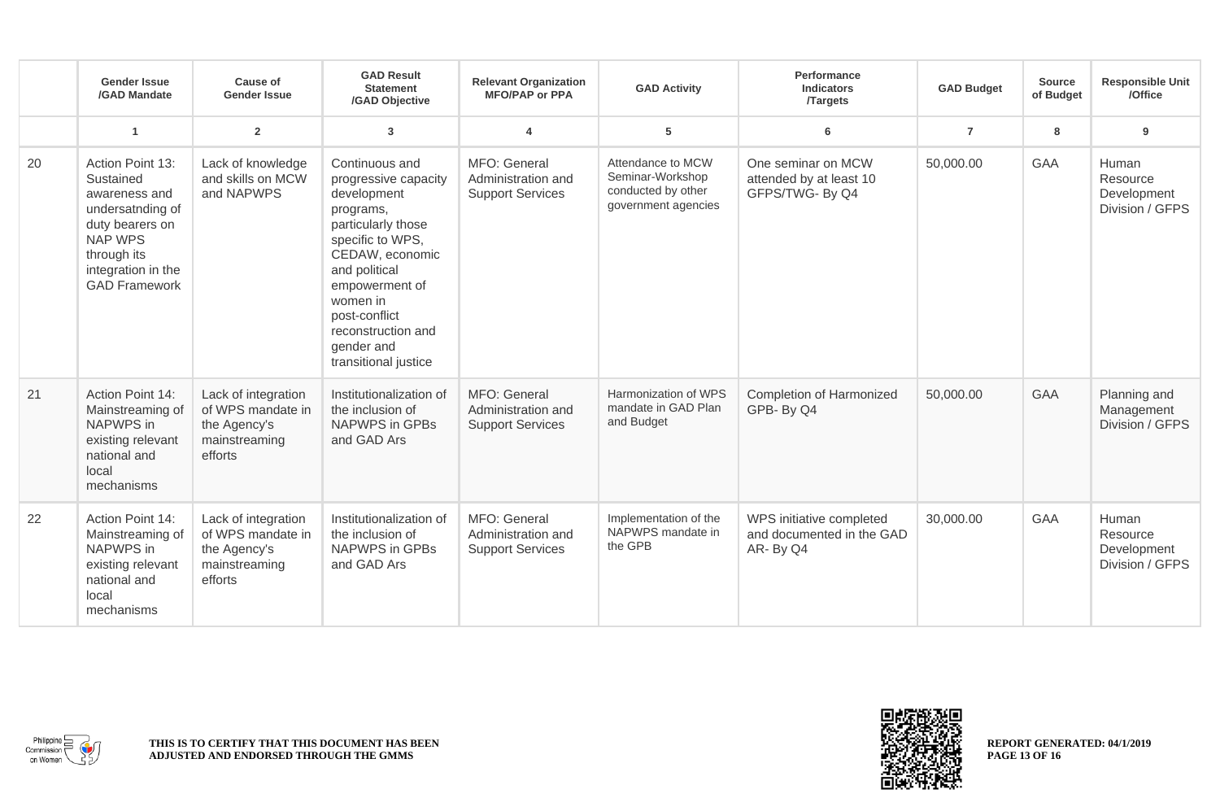|    | <b>Gender Issue</b><br>/GAD Mandate                                                                                                                                  | <b>Cause of</b><br><b>Gender Issue</b>                                               | <b>GAD Result</b><br><b>Statement</b><br>/GAD Objective                                                                                                                                                                                                     | <b>Relevant Organization</b><br><b>MFO/PAP or PPA</b>         | <b>GAD Activity</b>                                                                | <b>Performance</b><br><b>Indicators</b><br><b>Targets</b>         | <b>GAD Budget</b> | Source<br>of Budget | <b>Responsible Unit</b><br>/Office                  |
|----|----------------------------------------------------------------------------------------------------------------------------------------------------------------------|--------------------------------------------------------------------------------------|-------------------------------------------------------------------------------------------------------------------------------------------------------------------------------------------------------------------------------------------------------------|---------------------------------------------------------------|------------------------------------------------------------------------------------|-------------------------------------------------------------------|-------------------|---------------------|-----------------------------------------------------|
|    | $\overline{1}$                                                                                                                                                       | $\overline{2}$                                                                       | $\mathbf{3}$                                                                                                                                                                                                                                                | $\boldsymbol{4}$                                              | 5                                                                                  | 6                                                                 | $\overline{7}$    | 8                   | 9                                                   |
| 20 | Action Point 13:<br>Sustained<br>awareness and<br>undersatnding of<br>duty bearers on<br><b>NAP WPS</b><br>through its<br>integration in the<br><b>GAD Framework</b> | Lack of knowledge<br>and skills on MCW<br>and NAPWPS                                 | Continuous and<br>progressive capacity<br>development<br>programs,<br>particularly those<br>specific to WPS,<br>CEDAW, economic<br>and political<br>empowerment of<br>women in<br>post-conflict<br>reconstruction and<br>gender and<br>transitional justice | MFO: General<br>Administration and<br><b>Support Services</b> | Attendance to MCW<br>Seminar-Workshop<br>conducted by other<br>government agencies | One seminar on MCW<br>attended by at least 10<br>GFPS/TWG- By Q4  | 50,000.00         | <b>GAA</b>          | Human<br>Resource<br>Development<br>Division / GFPS |
| 21 | Action Point 14:<br>Mainstreaming of<br>NAPWPS in<br>existing relevant<br>national and<br>local<br>mechanisms                                                        | Lack of integration<br>of WPS mandate in<br>the Agency's<br>mainstreaming<br>efforts | Institutionalization of<br>the inclusion of<br>NAPWPS in GPBs<br>and GAD Ars                                                                                                                                                                                | MFO: General<br>Administration and<br><b>Support Services</b> | Harmonization of WPS<br>mandate in GAD Plan<br>and Budget                          | <b>Completion of Harmonized</b><br>GPB-By Q4                      | 50,000.00         | GAA                 | Planning and<br>Management<br>Division / GFPS       |
| 22 | Action Point 14:<br>Mainstreaming of<br>NAPWPS in<br>existing relevant<br>national and<br>local<br>mechanisms                                                        | Lack of integration<br>of WPS mandate in<br>the Agency's<br>mainstreaming<br>efforts | Institutionalization of<br>the inclusion of<br>NAPWPS in GPBs<br>and GAD Ars                                                                                                                                                                                | MFO: General<br>Administration and<br><b>Support Services</b> | Implementation of the<br>NAPWPS mandate in<br>the GPB                              | WPS initiative completed<br>and documented in the GAD<br>AR-By Q4 | 30,000.00         | GAA                 | Human<br>Resource<br>Development<br>Division / GFPS |



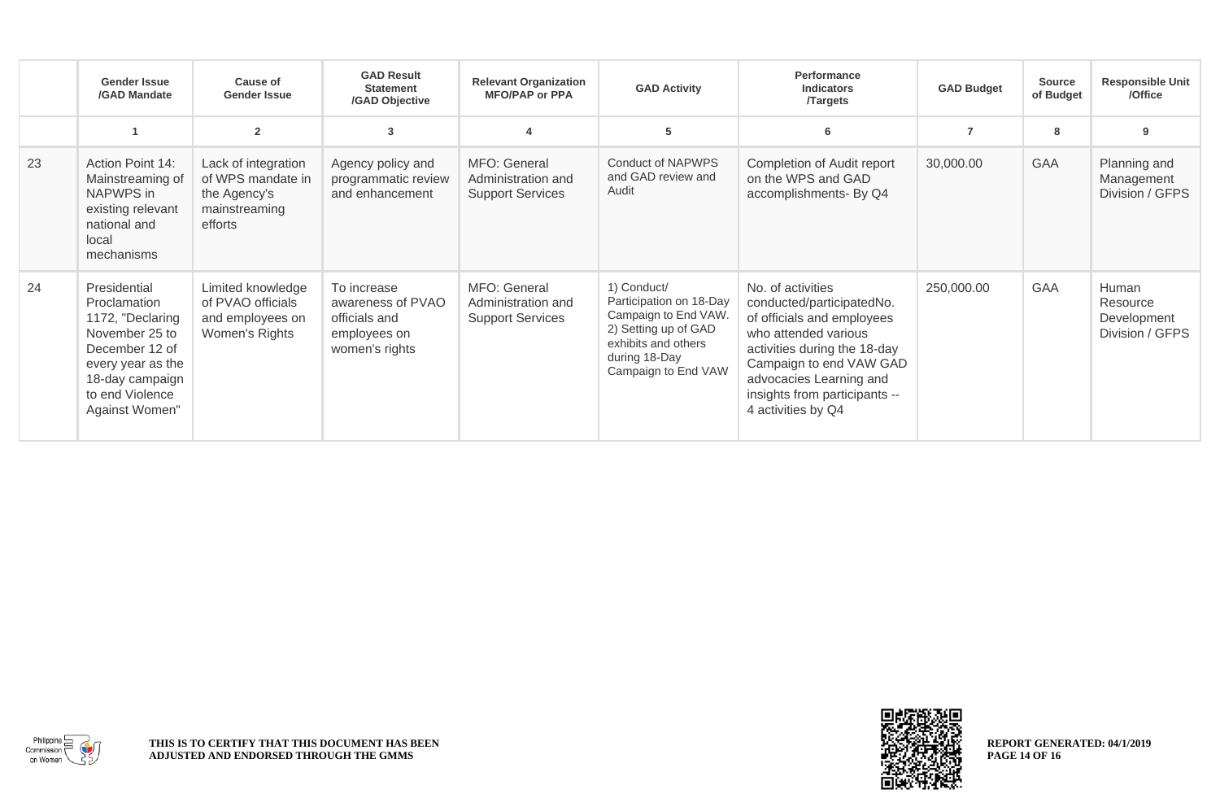|    | <b>Gender Issue</b><br>/GAD Mandate                                                                                                                               | Cause of<br><b>Gender Issue</b>                                                      | <b>GAD Result</b><br><b>Statement</b><br>/GAD Objective                             | <b>Relevant Organization</b><br><b>MFO/PAP or PPA</b>         | <b>GAD Activity</b>                                                                                                                                   | Performance<br><b>Indicators</b><br><b>Targets</b>                                                                                                                                                                                                | <b>GAD Budget</b> | <b>Source</b><br>of Budget | <b>Responsible Unit</b><br>/Office                  |
|----|-------------------------------------------------------------------------------------------------------------------------------------------------------------------|--------------------------------------------------------------------------------------|-------------------------------------------------------------------------------------|---------------------------------------------------------------|-------------------------------------------------------------------------------------------------------------------------------------------------------|---------------------------------------------------------------------------------------------------------------------------------------------------------------------------------------------------------------------------------------------------|-------------------|----------------------------|-----------------------------------------------------|
|    |                                                                                                                                                                   | $\overline{2}$                                                                       | 3                                                                                   |                                                               | 5                                                                                                                                                     | 6                                                                                                                                                                                                                                                 | $\overline{7}$    | 8                          | 9                                                   |
| 23 | Action Point 14:<br>Mainstreaming of<br>NAPWPS in<br>existing relevant<br>national and<br>local<br>mechanisms                                                     | Lack of integration<br>of WPS mandate in<br>the Agency's<br>mainstreaming<br>efforts | Agency policy and<br>programmatic review<br>and enhancement                         | MFO: General<br>Administration and<br><b>Support Services</b> | Conduct of NAPWPS<br>and GAD review and<br>Audit                                                                                                      | Completion of Audit report<br>on the WPS and GAD<br>accomplishments- By Q4                                                                                                                                                                        | 30,000.00         | <b>GAA</b>                 | Planning and<br>Management<br>Division / GFPS       |
| 24 | Presidential<br>Proclamation<br>1172, "Declaring<br>November 25 to<br>December 12 of<br>every year as the<br>18-day campaign<br>to end Violence<br>Against Women" | Limited knowledge<br>of PVAO officials<br>and employees on<br>Women's Rights         | To increase<br>awareness of PVAO<br>officials and<br>employees on<br>women's rights | MFO: General<br>Administration and<br><b>Support Services</b> | 1) Conduct/<br>Participation on 18-Day<br>Campaign to End VAW.<br>2) Setting up of GAD<br>exhibits and others<br>during 18-Day<br>Campaign to End VAW | No. of activities<br>conducted/participatedNo.<br>of officials and employees<br>who attended various<br>activities during the 18-day<br>Campaign to end VAW GAD<br>advocacies Learning and<br>insights from participants --<br>4 activities by Q4 | 250,000.00        | GAA                        | Human<br>Resource<br>Development<br>Division / GFPS |



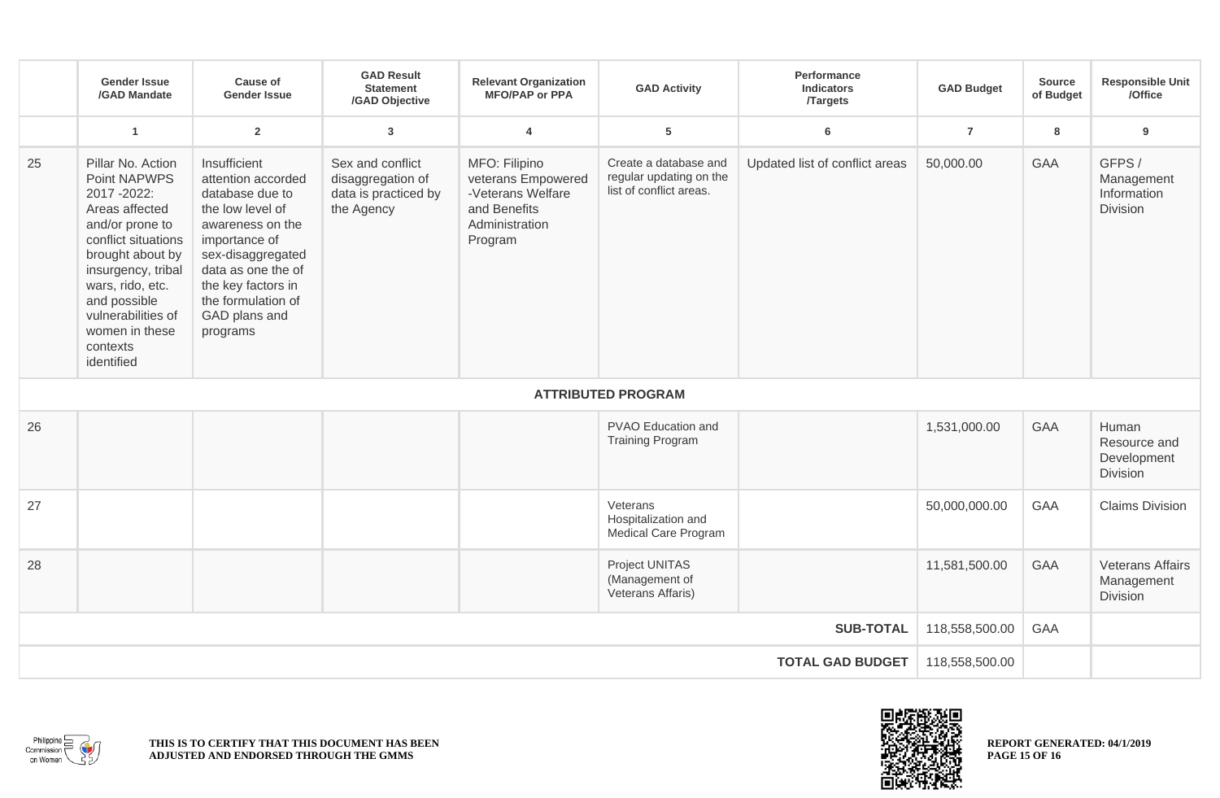|                         | <b>Gender Issue</b><br>/GAD Mandate                                                                                                                                                                                                                         | Cause of<br><b>Gender Issue</b>                                                                                                                                                                                                    | <b>GAD Result</b><br><b>Statement</b><br>/GAD Objective                     | <b>Relevant Organization</b><br><b>MFO/PAP or PPA</b>                                                 | <b>GAD Activity</b>                                                         | <b>Performance</b><br><b>Indicators</b><br><b>Targets</b> | <b>GAD Budget</b> | Source<br>of Budget | <b>Responsible Unit</b><br>/Office                      |
|-------------------------|-------------------------------------------------------------------------------------------------------------------------------------------------------------------------------------------------------------------------------------------------------------|------------------------------------------------------------------------------------------------------------------------------------------------------------------------------------------------------------------------------------|-----------------------------------------------------------------------------|-------------------------------------------------------------------------------------------------------|-----------------------------------------------------------------------------|-----------------------------------------------------------|-------------------|---------------------|---------------------------------------------------------|
|                         | $\overline{1}$                                                                                                                                                                                                                                              | $\overline{2}$                                                                                                                                                                                                                     | $\overline{3}$                                                              | $\overline{4}$                                                                                        | 5                                                                           | 6                                                         | $\overline{7}$    | 8                   | 9                                                       |
| 25                      | Pillar No. Action<br>Point NAPWPS<br>2017-2022:<br>Areas affected<br>and/or prone to<br>conflict situations<br>brought about by<br>insurgency, tribal<br>wars, rido, etc.<br>and possible<br>vulnerabilities of<br>women in these<br>contexts<br>identified | Insufficient<br>attention accorded<br>database due to<br>the low level of<br>awareness on the<br>importance of<br>sex-disaggregated<br>data as one the of<br>the key factors in<br>the formulation of<br>GAD plans and<br>programs | Sex and conflict<br>disaggregation of<br>data is practiced by<br>the Agency | MFO: Filipino<br>veterans Empowered<br>-Veterans Welfare<br>and Benefits<br>Administration<br>Program | Create a database and<br>regular updating on the<br>list of conflict areas. | Updated list of conflict areas                            | 50,000.00         | <b>GAA</b>          | GFPS /<br>Management<br>Information<br>Division         |
|                         |                                                                                                                                                                                                                                                             |                                                                                                                                                                                                                                    |                                                                             |                                                                                                       | <b>ATTRIBUTED PROGRAM</b>                                                   |                                                           |                   |                     |                                                         |
| 26                      |                                                                                                                                                                                                                                                             |                                                                                                                                                                                                                                    |                                                                             |                                                                                                       | PVAO Education and<br><b>Training Program</b>                               |                                                           | 1,531,000.00      | <b>GAA</b>          | Human<br>Resource and<br>Development<br><b>Division</b> |
| 27                      |                                                                                                                                                                                                                                                             |                                                                                                                                                                                                                                    |                                                                             |                                                                                                       | Veterans<br>Hospitalization and<br><b>Medical Care Program</b>              |                                                           | 50,000,000.00     | GAA                 | <b>Claims Division</b>                                  |
| 28                      |                                                                                                                                                                                                                                                             |                                                                                                                                                                                                                                    |                                                                             |                                                                                                       | Project UNITAS<br>(Management of<br>Veterans Affaris)                       |                                                           | 11,581,500.00     | GAA                 | <b>Veterans Affairs</b><br>Management<br>Division       |
| <b>SUB-TOTAL</b>        |                                                                                                                                                                                                                                                             |                                                                                                                                                                                                                                    |                                                                             |                                                                                                       |                                                                             | 118,558,500.00                                            | GAA               |                     |                                                         |
| <b>TOTAL GAD BUDGET</b> |                                                                                                                                                                                                                                                             |                                                                                                                                                                                                                                    |                                                                             |                                                                                                       |                                                                             |                                                           | 118,558,500.00    |                     |                                                         |